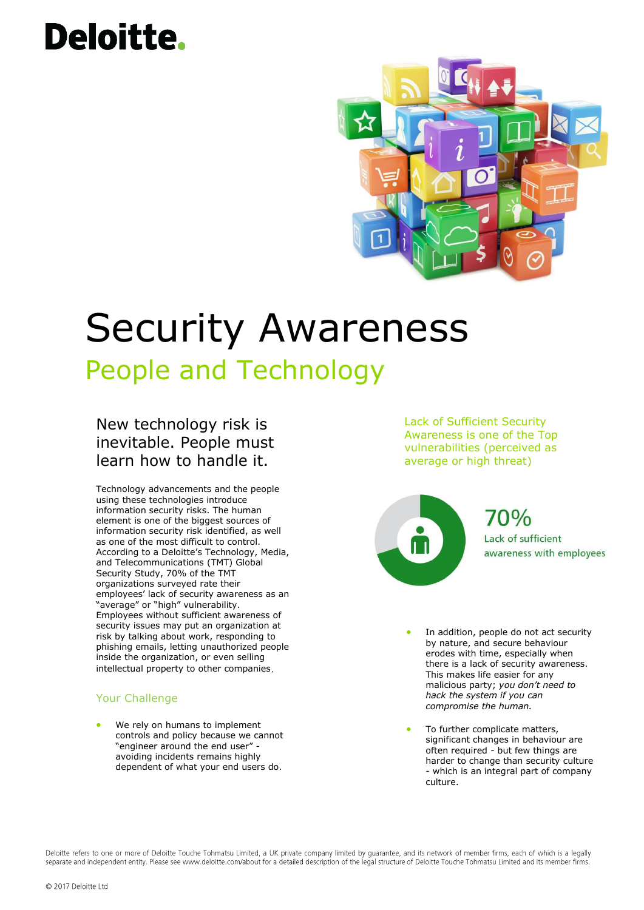# **Deloitte.**



### Security Awareness People and Technology

### New technology risk is inevitable. People must learn how to handle it.

Technology advancements and the people using these technologies introduce information security risks. The human element is one of the biggest sources of information security risk identified, as well as one of the most difficult to control. According to a Deloitte's Technology, Media, and Telecommunications (TMT) Global Security Study, 70% of the TMT organizations surveyed rate their employees' lack of security awareness as an "average" or "high" vulnerability. Employees without sufficient awareness of security issues may put an organization at risk by talking about work, responding to phishing emails, letting unauthorized people inside the organization, or even selling intellectual property to other companies

#### Your Challenge

 We rely on humans to implement controls and policy because we cannot "engineer around the end user" avoiding incidents remains highly dependent of what your end users do.

Lack of Sufficient Security Awareness is one of the Top vulnerabilities (perceived as average or high threat)



- In addition, people do not act security by nature, and secure behaviour erodes with time, especially when there is a lack of security awareness. This makes life easier for any malicious party; *you don't need to hack the system if you can compromise the human.*
- To further complicate matters, significant changes in behaviour are often required - but few things are harder to change than security culture - which is an integral part of company culture.

Deloitte refers to one or more of Deloitte Touche Tohmatsu Limited, a UK private company limited by quarantee, and its network of member firms, each of which is a legally separate and independent entity. Please see www.deloitte.com/about for a detailed description of the legal structure of Deloitte Touche Tohmatsu Limited and its member firms.